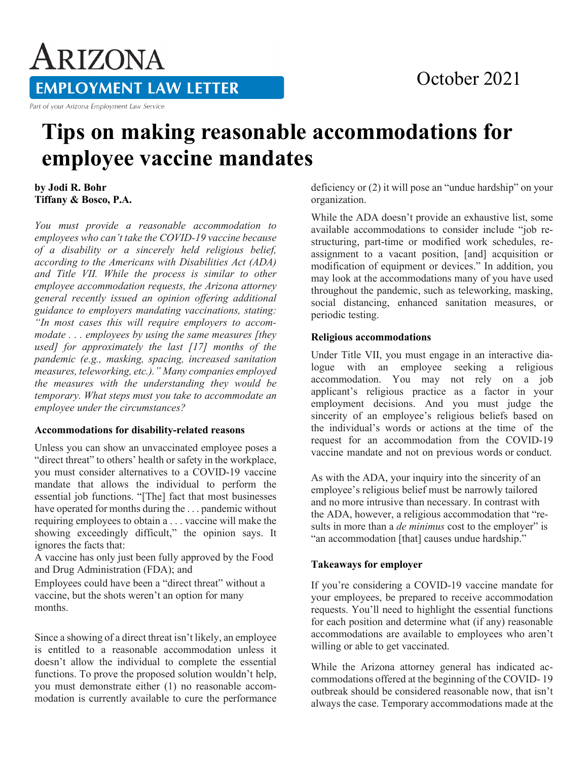# ARIZONA **EMPLOYMENT LAW LETTER**

Part of your Arizona Employment Law Service

### October 2021

## **Tips on making reasonable accommodations for employee vaccine mandates**

**by Jodi R. Bohr Tiffany & Bosco, P.A.** 

*You must provide a reasonable accommodation to employees who can't take the COVID-19 vaccine because of a disability or a sincerely held religious belief, according to the Americans with Disabilities Act (ADA) and Title VII. While the process is similar to other employee accommodation requests, the Arizona attorney general recently issued an opinion offering additional guidance to employers mandating vaccinations, stating: "In most cases this will require employers to accommodate . . . employees by using the same measures [they used] for approximately the last [17] months of the pandemic (e.g., masking, spacing, increased sanitation measures, teleworking, etc.)." Many companies employed the measures with the understanding they would be temporary. What steps must you take to accommodate an employee under the circumstances?* 

#### **Accommodations for disability-related reasons**

Unless you can show an unvaccinated employee poses a "direct threat" to others' health or safety in the workplace, you must consider alternatives to a COVID-19 vaccine mandate that allows the individual to perform the essential job functions. "[The] fact that most businesses have operated for months during the . . . pandemic without requiring employees to obtain a . . . vaccine will make the showing exceedingly difficult," the opinion says. It ignores the facts that:

A vaccine has only just been fully approved by the Food and Drug Administration (FDA); and

Employees could have been a "direct threat" without a vaccine, but the shots weren't an option for many months.

Since a showing of a direct threat isn't likely, an employee is entitled to a reasonable accommodation unless it doesn't allow the individual to complete the essential functions. To prove the proposed solution wouldn't help, you must demonstrate either (1) no reasonable accommodation is currently available to cure the performance deficiency or (2) it will pose an "undue hardship" on your organization.

While the ADA doesn't provide an exhaustive list, some available accommodations to consider include "job restructuring, part-time or modified work schedules, reassignment to a vacant position, [and] acquisition or modification of equipment or devices." In addition, you may look at the accommodations many of you have used throughout the pandemic, such as teleworking, masking, social distancing, enhanced sanitation measures, or periodic testing.

#### **Religious accommodations**

Under Title VII, you must engage in an interactive dialogue with an employee seeking a religious accommodation. You may not rely on a job applicant's religious practice as a factor in your employment decisions. And you must judge the sincerity of an employee's religious beliefs based on the individual's words or actions at the time of the request for an accommodation from the COVID-19 vaccine mandate and not on previous words or conduct.

As with the ADA, your inquiry into the sincerity of an employee's religious belief must be narrowly tailored and no more intrusive than necessary. In contrast with the ADA, however, a religious accommodation that "results in more than a *de minimus* cost to the employer" is "an accommodation [that] causes undue hardship."

#### **Takeaways for employer**

If you're considering a COVID-19 vaccine mandate for your employees, be prepared to receive accommodation requests. You'll need to highlight the essential functions for each position and determine what (if any) reasonable accommodations are available to employees who aren't willing or able to get vaccinated.

While the Arizona attorney general has indicated accommodations offered at the beginning of the COVID- 19 outbreak should be considered reasonable now, that isn't always the case. Temporary accommodations made at the